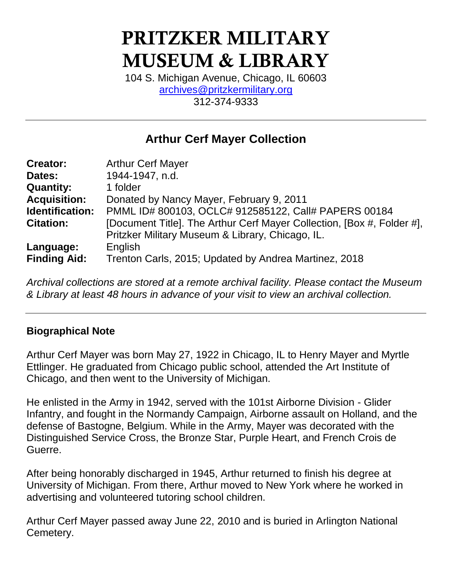# PRITZKER MILITARY MUSEUM & LIBRARY

104 S. Michigan Avenue, Chicago, IL 60603 [archives@pritzkermilitary.org](mailto:archives@pritzkermilitary.org) 312-374-9333

# **Arthur Cerf Mayer Collection**

| <b>Creator:</b>     | <b>Arthur Cerf Mayer</b>                                               |
|---------------------|------------------------------------------------------------------------|
| Dates:              | 1944-1947, n.d.                                                        |
| <b>Quantity:</b>    | 1 folder                                                               |
| <b>Acquisition:</b> | Donated by Nancy Mayer, February 9, 2011                               |
| Identification:     | PMML ID# 800103, OCLC# 912585122, Call# PAPERS 00184                   |
| <b>Citation:</b>    | [Document Title]. The Arthur Cerf Mayer Collection, [Box #, Folder #], |
|                     | Pritzker Military Museum & Library, Chicago, IL.                       |
| Language:           | English                                                                |
| <b>Finding Aid:</b> | Trenton Carls, 2015; Updated by Andrea Martinez, 2018                  |

*Archival collections are stored at a remote archival facility. Please contact the Museum & Library at least 48 hours in advance of your visit to view an archival collection.*

# **Biographical Note**

Arthur Cerf Mayer was born May 27, 1922 in Chicago, IL to Henry Mayer and Myrtle Ettlinger. He graduated from Chicago public school, attended the Art Institute of Chicago, and then went to the University of Michigan.

He enlisted in the Army in 1942, served with the 101st Airborne Division - Glider Infantry, and fought in the Normandy Campaign, Airborne assault on Holland, and the defense of Bastogne, Belgium. While in the Army, Mayer was decorated with the Distinguished Service Cross, the Bronze Star, Purple Heart, and French Crois de Guerre.

After being honorably discharged in 1945, Arthur returned to finish his degree at University of Michigan. From there, Arthur moved to New York where he worked in advertising and volunteered tutoring school children.

Arthur Cerf Mayer passed away June 22, 2010 and is buried in Arlington National Cemetery.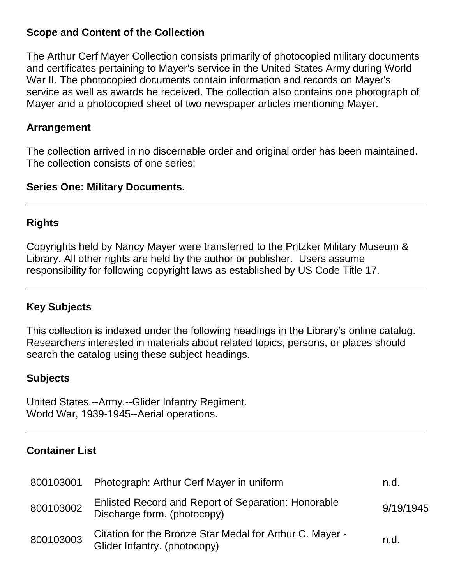#### **Scope and Content of the Collection**

The Arthur Cerf Mayer Collection consists primarily of photocopied military documents and certificates pertaining to Mayer's service in the United States Army during World War II. The photocopied documents contain information and records on Mayer's service as well as awards he received. The collection also contains one photograph of Mayer and a photocopied sheet of two newspaper articles mentioning Mayer.

#### **Arrangement**

The collection arrived in no discernable order and original order has been maintained. The collection consists of one series:

#### **Series One: Military Documents.**

#### **Rights**

Copyrights held by Nancy Mayer were transferred to the Pritzker Military Museum & Library. All other rights are held by the author or publisher. Users assume responsibility for following copyright laws as established by US Code Title 17.

# **Key Subjects**

This collection is indexed under the following headings in the Library's online catalog. Researchers interested in materials about related topics, persons, or places should search the catalog using these subject headings.

# **Subjects**

United States.--Army.--Glider Infantry Regiment. World War, 1939-1945--Aerial operations.

# **Container List**

|           | 800103001 Photograph: Arthur Cerf Mayer in uniform                                        | n.d.      |
|-----------|-------------------------------------------------------------------------------------------|-----------|
| 800103002 | <b>Enlisted Record and Report of Separation: Honorable</b><br>Discharge form. (photocopy) | 9/19/1945 |
| 800103003 | Citation for the Bronze Star Medal for Arthur C. Mayer -<br>Glider Infantry. (photocopy)  | n.d.      |